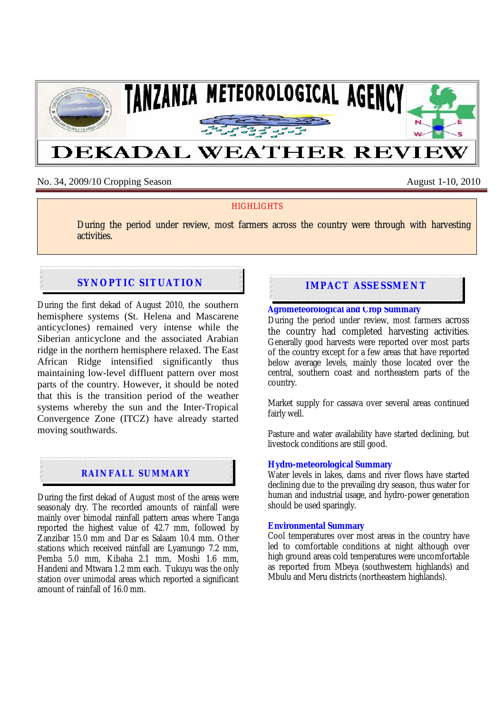

# No. 34, 2009/10 Cropping Season August 1-10, 2010

## **HIGHLIGHTS**

During the period under review, most farmers across the country were through with harvesting activities.

# **SYNOPTIC SITUATION IMPACT ASSESSMENT**

During the first dekad of August 2010, the southern hemisphere systems (St. Helena and Mascarene anticyclones) remained very intense while the Siberian anticyclone and the associated Arabian ridge in the northern hemisphere relaxed. The East African Ridge intensified significantly thus maintaining low-level diffluent pattern over most parts of the country. However, it should be noted that this is the transition period of the weather systems whereby the sun and the Inter-Tropical Convergence Zone (ITCZ) have already started moving southwards.

# **RAINFALL SUMMARY**

During the first dekad of August most of the areas were seasonaly dry. The recorded amounts of rainfall were mainly over bimodal rainfall pattern areas where Tanga reported the highest value of  $42.7$  mm, followed by Zanzibar 15.0 mm and Dar es Salaam 10.4 mm. Other stations which received rainfall are Lyamungo 7.2 mm, Pemba 5.0 mm, Kibaha 2.1 mm, Moshi 1.6 mm, Handeni and Mtwara 1.2 mm each. Tukuyu was the only station over unimodal areas which reported a significant amount of rainfall of 16.0 mm.

#### **Agrometeorological and Crop Summary**

During the period under review, most farmers across the country had completed harvesting activities. Generally good harvests were reported over most parts of the country except for a few areas that have reported below average levels, mainly those located over the central, southern coast and northeastern parts of the country.

Market supply for cassava over several areas continued fairly well.

Pasture and water availability have started declining, but livestock conditions are still good.

### **Hydro-meteorological Summary**

Water levels in lakes, dams and river flows have started declining due to the prevailing dry season, thus water for human and industrial usage, and hydro-power generation should be used sparingly.

#### **Environmental Summary**

Cool temperatures over most areas in the country have led to comfortable conditions at night although over high ground areas cold temperatures were uncomfortable as reported from Mbeya (southwestern highlands) and Mbulu and Meru districts (northeastern highlands).